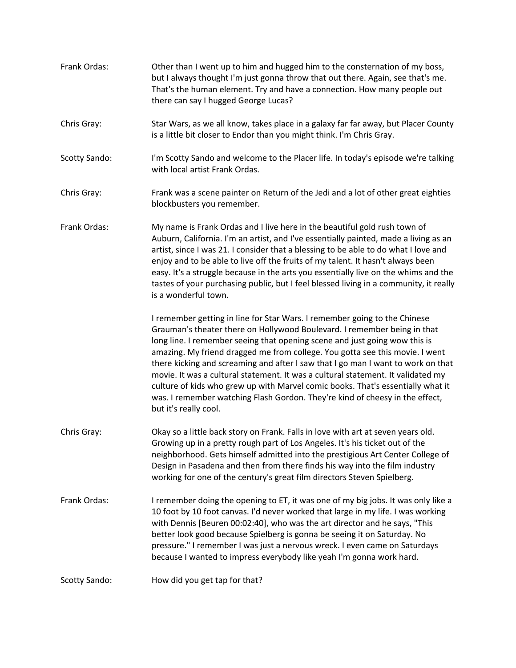Frank Ordas: Other than I went up to him and hugged him to the consternation of my boss, but I always thought I'm just gonna throw that out there. Again, see that's me. That's the human element. Try and have a connection. How many people out there can say I hugged George Lucas? Chris Gray: Star Wars, as we all know, takes place in a galaxy far far away, but Placer County is a little bit closer to Endor than you might think. I'm Chris Gray. Scotty Sando: I'm Scotty Sando and welcome to the Placer life. In today's episode we're talking with local artist Frank Ordas. Chris Gray: Frank was a scene painter on Return of the Jedi and a lot of other great eighties blockbusters you remember. Frank Ordas: My name is Frank Ordas and I live here in the beautiful gold rush town of Auburn, California. I'm an artist, and I've essentially painted, made a living as an artist, since I was 21. I consider that a blessing to be able to do what I love and enjoy and to be able to live off the fruits of my talent. It hasn't always been easy. It's a struggle because in the arts you essentially live on the whims and the tastes of your purchasing public, but I feel blessed living in a community, it really is a wonderful town. I remember getting in line for Star Wars. I remember going to the Chinese Grauman's theater there on Hollywood Boulevard. I remember being in that long line. I remember seeing that opening scene and just going wow this is amazing. My friend dragged me from college. You gotta see this movie. I went there kicking and screaming and after I saw that I go man I want to work on that movie. It was a cultural statement. It was a cultural statement. It validated my culture of kids who grew up with Marvel comic books. That's essentially what it was. I remember watching Flash Gordon. They're kind of cheesy in the effect, but it's really cool. Chris Gray: Okay so a little back story on Frank. Falls in love with art at seven years old. Growing up in a pretty rough part of Los Angeles. It's his ticket out of the neighborhood. Gets himself admitted into the prestigious Art Center College of Design in Pasadena and then from there finds his way into the film industry working for one of the century's great film directors Steven Spielberg. Frank Ordas: I remember doing the opening to ET, it was one of my big jobs. It was only like a 10 foot by 10 foot canvas. I'd never worked that large in my life. I was working with Dennis [Beuren 00:02:40], who was the art director and he says, "This better look good because Spielberg is gonna be seeing it on Saturday. No pressure." I remember I was just a nervous wreck. I even came on Saturdays because I wanted to impress everybody like yeah I'm gonna work hard. Scotty Sando: How did you get tap for that?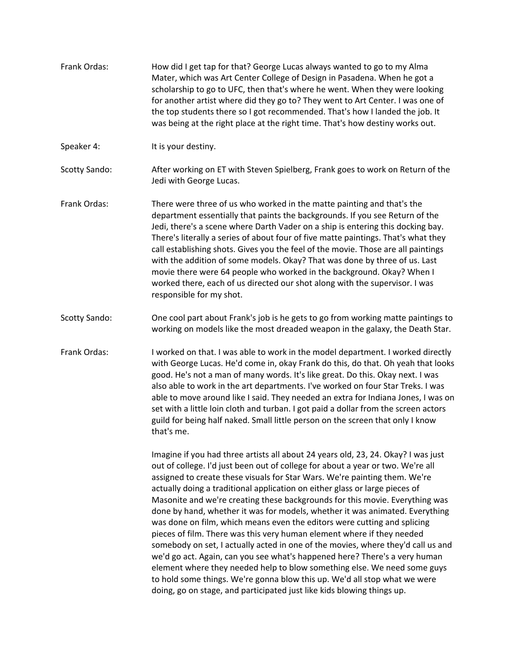- Frank Ordas: How did I get tap for that? George Lucas always wanted to go to my Alma Mater, which was Art Center College of Design in Pasadena. When he got a scholarship to go to UFC, then that's where he went. When they were looking for another artist where did they go to? They went to Art Center. I was one of the top students there so I got recommended. That's how I landed the job. It was being at the right place at the right time. That's how destiny works out.
- Speaker 4: It is your destiny.
- Scotty Sando: After working on ET with Steven Spielberg, Frank goes to work on Return of the Jedi with George Lucas.
- Frank Ordas: There were three of us who worked in the matte painting and that's the department essentially that paints the backgrounds. If you see Return of the Jedi, there's a scene where Darth Vader on a ship is entering this docking bay. There's literally a series of about four of five matte paintings. That's what they call establishing shots. Gives you the feel of the movie. Those are all paintings with the addition of some models. Okay? That was done by three of us. Last movie there were 64 people who worked in the background. Okay? When I worked there, each of us directed our shot along with the supervisor. I was responsible for my shot.
- Scotty Sando: One cool part about Frank's job is he gets to go from working matte paintings to working on models like the most dreaded weapon in the galaxy, the Death Star.
- Frank Ordas: I worked on that. I was able to work in the model department. I worked directly with George Lucas. He'd come in, okay Frank do this, do that. Oh yeah that looks good. He's not a man of many words. It's like great. Do this. Okay next. I was also able to work in the art departments. I've worked on four Star Treks. I was able to move around like I said. They needed an extra for Indiana Jones, I was on set with a little loin cloth and turban. I got paid a dollar from the screen actors guild for being half naked. Small little person on the screen that only I know that's me.

Imagine if you had three artists all about 24 years old, 23, 24. Okay? I was just out of college. I'd just been out of college for about a year or two. We're all assigned to create these visuals for Star Wars. We're painting them. We're actually doing a traditional application on either glass or large pieces of Masonite and we're creating these backgrounds for this movie. Everything was done by hand, whether it was for models, whether it was animated. Everything was done on film, which means even the editors were cutting and splicing pieces of film. There was this very human element where if they needed somebody on set, I actually acted in one of the movies, where they'd call us and we'd go act. Again, can you see what's happened here? There's a very human element where they needed help to blow something else. We need some guys to hold some things. We're gonna blow this up. We'd all stop what we were doing, go on stage, and participated just like kids blowing things up.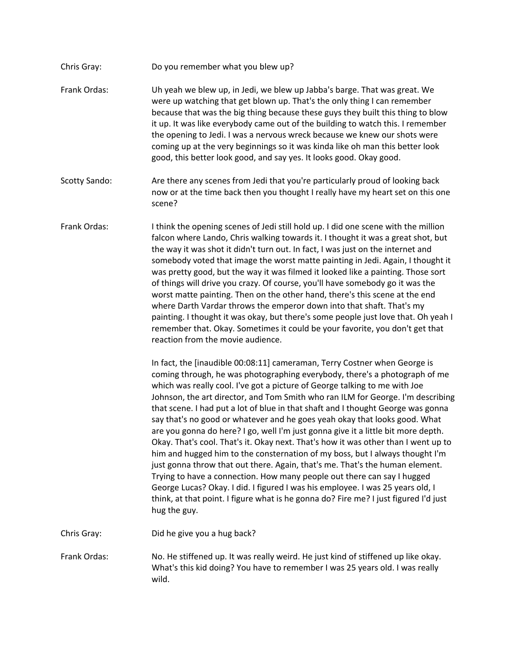- Chris Gray: Do you remember what you blew up?
- Frank Ordas: Uh yeah we blew up, in Jedi, we blew up Jabba's barge. That was great. We were up watching that get blown up. That's the only thing I can remember because that was the big thing because these guys they built this thing to blow it up. It was like everybody came out of the building to watch this. I remember the opening to Jedi. I was a nervous wreck because we knew our shots were coming up at the very beginnings so it was kinda like oh man this better look good, this better look good, and say yes. It looks good. Okay good.
- Scotty Sando: Are there any scenes from Jedi that you're particularly proud of looking back now or at the time back then you thought I really have my heart set on this one scene?
- Frank Ordas: I think the opening scenes of Jedi still hold up. I did one scene with the million falcon where Lando, Chris walking towards it. I thought it was a great shot, but the way it was shot it didn't turn out. In fact, I was just on the internet and somebody voted that image the worst matte painting in Jedi. Again, I thought it was pretty good, but the way it was filmed it looked like a painting. Those sort of things will drive you crazy. Of course, you'll have somebody go it was the worst matte painting. Then on the other hand, there's this scene at the end where Darth Vardar throws the emperor down into that shaft. That's my painting. I thought it was okay, but there's some people just love that. Oh yeah I remember that. Okay. Sometimes it could be your favorite, you don't get that reaction from the movie audience.

In fact, the [inaudible 00:08:11] cameraman, Terry Costner when George is coming through, he was photographing everybody, there's a photograph of me which was really cool. I've got a picture of George talking to me with Joe Johnson, the art director, and Tom Smith who ran ILM for George. I'm describing that scene. I had put a lot of blue in that shaft and I thought George was gonna say that's no good or whatever and he goes yeah okay that looks good. What are you gonna do here? I go, well I'm just gonna give it a little bit more depth. Okay. That's cool. That's it. Okay next. That's how it was other than I went up to him and hugged him to the consternation of my boss, but I always thought I'm just gonna throw that out there. Again, that's me. That's the human element. Trying to have a connection. How many people out there can say I hugged George Lucas? Okay. I did. I figured I was his employee. I was 25 years old, I think, at that point. I figure what is he gonna do? Fire me? I just figured I'd just hug the guy.

Chris Gray: Did he give you a hug back?

Frank Ordas: No. He stiffened up. It was really weird. He just kind of stiffened up like okay. What's this kid doing? You have to remember I was 25 years old. I was really wild.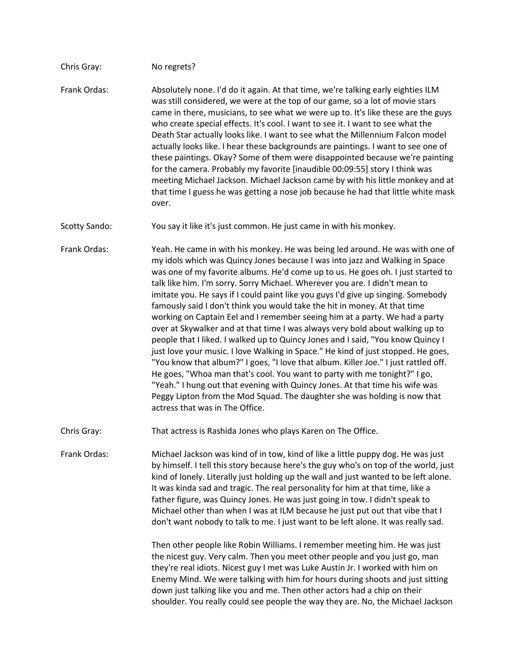## Chris Gray: No regrets?

Frank Ordas: Absolutely none. I'd do it again. At that time, we're talking early eighties ILM was still considered, we were at the top of our game, so a lot of movie stars came in there, musicians, to see what we were up to. It's like these are the guys who create special effects. It's cool. I want to see it. I want to see what the Death Star actually looks like. I want to see what the Millennium Falcon model actually looks like. I hear these backgrounds are paintings. I want to see one of these paintings. Okay? Some of them were disappointed because we're painting for the camera. Probably my favorite [inaudible 00:09:55] story I think was meeting Michael Jackson. Michael Jackson came by with his little monkey and at that time I guess he was getting a nose job because he had that little white mask over.

Scotty Sando: You say it like it's just common. He just came in with his monkey.

Frank Ordas: Yeah. He came in with his monkey. He was being led around. He was with one of my idols which was Quincy Jones because I was into jazz and Walking in Space was one of my favorite albums. He'd come up to us. He goes oh. I just started to talk like him. I'm sorry. Sorry Michael. Wherever you are. I didn't mean to imitate you. He says if I could paint like you guys I'd give up singing. Somebody famously said I don't think you would take the hit in money. At that time working on Captain Eel and I remember seeing him at a party. We had a party over at Skywalker and at that time I was always very bold about walking up to people that I liked. I walked up to Quincy Jones and I said, "You know Quincy I just love your music. I love Walking in Space." He kind of just stopped. He goes, "You know that album?" I goes, "I love that album. Killer Joe." I just rattled off. He goes, "Whoa man that's cool. You want to party with me tonight?" I go, "Yeah." I hung out that evening with Quincy Jones. At that time his wife was Peggy Lipton from the Mod Squad. The daughter she was holding is now that actress that was in The Office.

Chris Gray: That actress is Rashida Jones who plays Karen on The Office.

Frank Ordas: Michael Jackson was kind of in tow, kind of like a little puppy dog. He was just by himself. I tell this story because here's the guy who's on top of the world, just kind of lonely. Literally just holding up the wall and just wanted to be left alone. It was kinda sad and tragic. The real personality for him at that time, like a father figure, was Quincy Jones. He was just going in tow. I didn't speak to Michael other than when I was at ILM because he just put out that vibe that I don't want nobody to talk to me. I just want to be left alone. It was really sad.

> Then other people like Robin Williams. I remember meeting him. He was just the nicest guy. Very calm. Then you meet other people and you just go, man they're real idiots. Nicest guy I met was Luke Austin Jr. I worked with him on Enemy Mind. We were talking with him for hours during shoots and just sitting down just talking like you and me. Then other actors had a chip on their shoulder. You really could see people the way they are. No, the Michael Jackson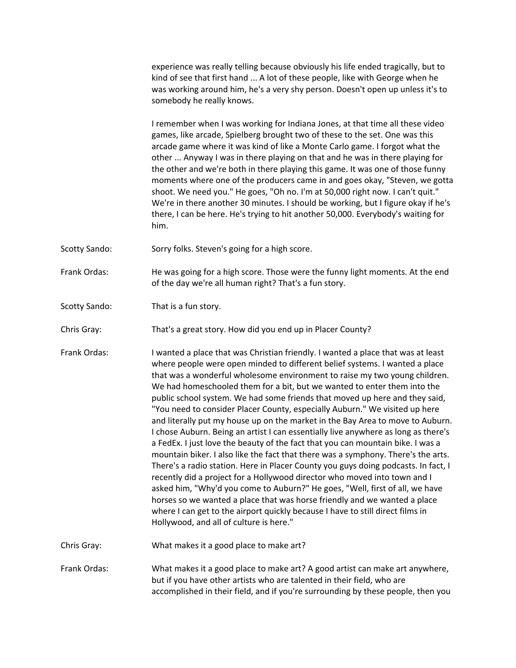experience was really telling because obviously his life ended tragically, but to kind of see that first hand ... A lot of these people, like with George when he was working around him, he's a very shy person. Doesn't open up unless it's to somebody he really knows.

I remember when I was working for Indiana Jones, at that time all these video games, like arcade, Spielberg brought two of these to the set. One was this arcade game where it was kind of like a Monte Carlo game. I forgot what the other ... Anyway I was in there playing on that and he was in there playing for the other and we're both in there playing this game. It was one of those funny moments where one of the producers came in and goes okay, "Steven, we gotta shoot. We need you." He goes, "Oh no. I'm at 50,000 right now. I can't quit." We're in there another 30 minutes. I should be working, but I figure okay if he's there, I can be here. He's trying to hit another 50,000. Everybody's waiting for him.

- Scotty Sando: Sorry folks. Steven's going for a high score.
- Frank Ordas: He was going for a high score. Those were the funny light moments. At the end of the day we're all human right? That's a fun story.
- Scotty Sando: That is a fun story.
- Chris Gray: That's a great story. How did you end up in Placer County?

Frank Ordas: I wanted a place that was Christian friendly. I wanted a place that was at least where people were open minded to different belief systems. I wanted a place that was a wonderful wholesome environment to raise my two young children. We had homeschooled them for a bit, but we wanted to enter them into the public school system. We had some friends that moved up here and they said, "You need to consider Placer County, especially Auburn." We visited up here and literally put my house up on the market in the Bay Area to move to Auburn. I chose Auburn. Being an artist I can essentially live anywhere as long as there's a FedEx. I just love the beauty of the fact that you can mountain bike. I was a mountain biker. I also like the fact that there was a symphony. There's the arts. There's a radio station. Here in Placer County you guys doing podcasts. In fact, I recently did a project for a Hollywood director who moved into town and I asked him, "Why'd you come to Auburn?" He goes, "Well, first of all, we have horses so we wanted a place that was horse friendly and we wanted a place where I can get to the airport quickly because I have to still direct films in Hollywood, and all of culture is here."

Chris Gray: What makes it a good place to make art?

Frank Ordas: What makes it a good place to make art? A good artist can make art anywhere, but if you have other artists who are talented in their field, who are accomplished in their field, and if you're surrounding by these people, then you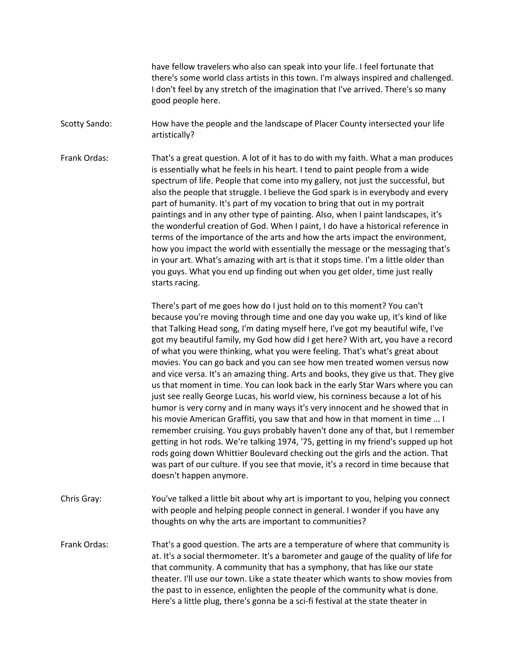have fellow travelers who also can speak into your life. I feel fortunate that there's some world class artists in this town. I'm always inspired and challenged. I don't feel by any stretch of the imagination that I've arrived. There's so many good people here.

Scotty Sando: How have the people and the landscape of Placer County intersected your life artistically?

Frank Ordas: That's a great question. A lot of it has to do with my faith. What a man produces is essentially what he feels in his heart. I tend to paint people from a wide spectrum of life. People that come into my gallery, not just the successful, but also the people that struggle. I believe the God spark is in everybody and every part of humanity. It's part of my vocation to bring that out in my portrait paintings and in any other type of painting. Also, when I paint landscapes, it's the wonderful creation of God. When I paint, I do have a historical reference in terms of the importance of the arts and how the arts impact the environment, how you impact the world with essentially the message or the messaging that's in your art. What's amazing with art is that it stops time. I'm a little older than you guys. What you end up finding out when you get older, time just really starts racing.

> There's part of me goes how do I just hold on to this moment? You can't because you're moving through time and one day you wake up, it's kind of like that Talking Head song, I'm dating myself here, I've got my beautiful wife, I've got my beautiful family, my God how did I get here? With art, you have a record of what you were thinking, what you were feeling. That's what's great about movies. You can go back and you can see how men treated women versus now and vice versa. It's an amazing thing. Arts and books, they give us that. They give us that moment in time. You can look back in the early Star Wars where you can just see really George Lucas, his world view, his corniness because a lot of his humor is very corny and in many ways it's very innocent and he showed that in his movie American Graffiti, you saw that and how in that moment in time ... I remember cruising. You guys probably haven't done any of that, but I remember getting in hot rods. We're talking 1974, '75, getting in my friend's supped up hot rods going down Whittier Boulevard checking out the girls and the action. That was part of our culture. If you see that movie, it's a record in time because that doesn't happen anymore.

Chris Gray: You've talked a little bit about why art is important to you, helping you connect with people and helping people connect in general. I wonder if you have any thoughts on why the arts are important to communities?

Frank Ordas: That's a good question. The arts are a temperature of where that community is at. It's a social thermometer. It's a barometer and gauge of the quality of life for that community. A community that has a symphony, that has like our state theater. I'll use our town. Like a state theater which wants to show movies from the past to in essence, enlighten the people of the community what is done. Here's a little plug, there's gonna be a sci-fi festival at the state theater in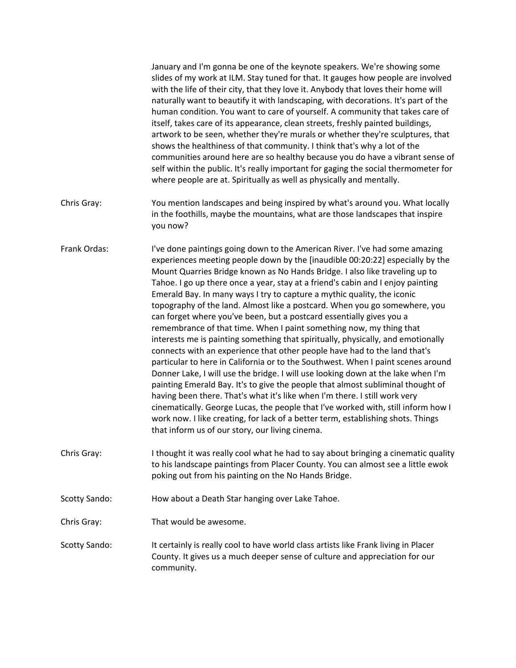|                      | January and I'm gonna be one of the keynote speakers. We're showing some<br>slides of my work at ILM. Stay tuned for that. It gauges how people are involved<br>with the life of their city, that they love it. Anybody that loves their home will<br>naturally want to beautify it with landscaping, with decorations. It's part of the<br>human condition. You want to care of yourself. A community that takes care of<br>itself, takes care of its appearance, clean streets, freshly painted buildings,<br>artwork to be seen, whether they're murals or whether they're sculptures, that<br>shows the healthiness of that community. I think that's why a lot of the<br>communities around here are so healthy because you do have a vibrant sense of<br>self within the public. It's really important for gaging the social thermometer for<br>where people are at. Spiritually as well as physically and mentally.                                                                                                                                                                                                                                                                                                                                                                                                                                                   |
|----------------------|------------------------------------------------------------------------------------------------------------------------------------------------------------------------------------------------------------------------------------------------------------------------------------------------------------------------------------------------------------------------------------------------------------------------------------------------------------------------------------------------------------------------------------------------------------------------------------------------------------------------------------------------------------------------------------------------------------------------------------------------------------------------------------------------------------------------------------------------------------------------------------------------------------------------------------------------------------------------------------------------------------------------------------------------------------------------------------------------------------------------------------------------------------------------------------------------------------------------------------------------------------------------------------------------------------------------------------------------------------------------------|
| Chris Gray:          | You mention landscapes and being inspired by what's around you. What locally<br>in the foothills, maybe the mountains, what are those landscapes that inspire<br>you now?                                                                                                                                                                                                                                                                                                                                                                                                                                                                                                                                                                                                                                                                                                                                                                                                                                                                                                                                                                                                                                                                                                                                                                                                    |
| Frank Ordas:         | I've done paintings going down to the American River. I've had some amazing<br>experiences meeting people down by the [inaudible 00:20:22] especially by the<br>Mount Quarries Bridge known as No Hands Bridge. I also like traveling up to<br>Tahoe. I go up there once a year, stay at a friend's cabin and I enjoy painting<br>Emerald Bay. In many ways I try to capture a mythic quality, the iconic<br>topography of the land. Almost like a postcard. When you go somewhere, you<br>can forget where you've been, but a postcard essentially gives you a<br>remembrance of that time. When I paint something now, my thing that<br>interests me is painting something that spiritually, physically, and emotionally<br>connects with an experience that other people have had to the land that's<br>particular to here in California or to the Southwest. When I paint scenes around<br>Donner Lake, I will use the bridge. I will use looking down at the lake when I'm<br>painting Emerald Bay. It's to give the people that almost subliminal thought of<br>having been there. That's what it's like when I'm there. I still work very<br>cinematically. George Lucas, the people that I've worked with, still inform how I<br>work now. I like creating, for lack of a better term, establishing shots. Things<br>that inform us of our story, our living cinema. |
| Chris Gray:          | I thought it was really cool what he had to say about bringing a cinematic quality<br>to his landscape paintings from Placer County. You can almost see a little ewok<br>poking out from his painting on the No Hands Bridge.                                                                                                                                                                                                                                                                                                                                                                                                                                                                                                                                                                                                                                                                                                                                                                                                                                                                                                                                                                                                                                                                                                                                                |
| <b>Scotty Sando:</b> | How about a Death Star hanging over Lake Tahoe.                                                                                                                                                                                                                                                                                                                                                                                                                                                                                                                                                                                                                                                                                                                                                                                                                                                                                                                                                                                                                                                                                                                                                                                                                                                                                                                              |
| Chris Gray:          | That would be awesome.                                                                                                                                                                                                                                                                                                                                                                                                                                                                                                                                                                                                                                                                                                                                                                                                                                                                                                                                                                                                                                                                                                                                                                                                                                                                                                                                                       |
| <b>Scotty Sando:</b> | It certainly is really cool to have world class artists like Frank living in Placer<br>County. It gives us a much deeper sense of culture and appreciation for our<br>community.                                                                                                                                                                                                                                                                                                                                                                                                                                                                                                                                                                                                                                                                                                                                                                                                                                                                                                                                                                                                                                                                                                                                                                                             |